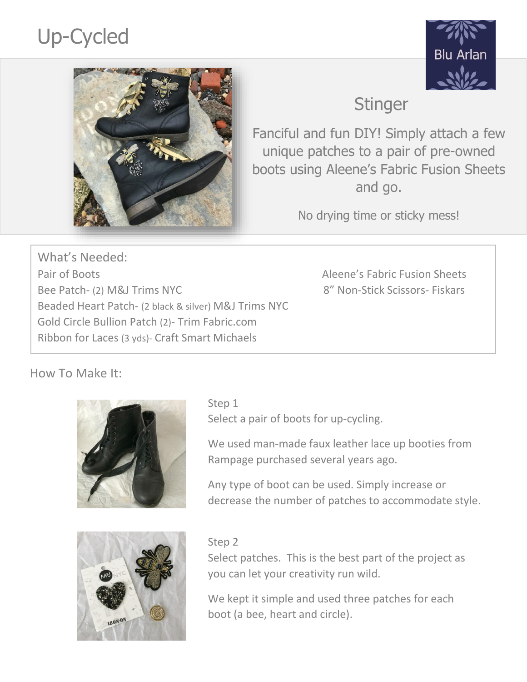# Up-Cycled





# **Stinger**

Fanciful and fun DIY! Simply attach a few unique patches to a pair of pre-owned boots using Aleene's Fabric Fusion Sheets and go.

No drying time or sticky mess!

What's Needed: Pair of Boots **Alexander Sheets** Aleene's Fabric Fusion Sheets Bee Patch- (2) M&J Trims NYC 8" Non-Stick Scissors- Fiskars Beaded Heart Patch- (2 black & silver) M&J Trims NYC Gold Circle Bullion Patch (2)- Trim Fabric.com Ribbon for Laces (3 yds)- Craft Smart Michaels

# How To Make It:



Select a pair of boots for up-cycling.

We used man-made faux leather lace up booties from Rampage purchased several years ago.

Any type of boot can be used. Simply increase or decrease the number of patches to accommodate style.



#### Step 2

Select patches. This is the best part of the project as you can let your creativity run wild.

We kept it simple and used three patches for each boot (a bee, heart and circle).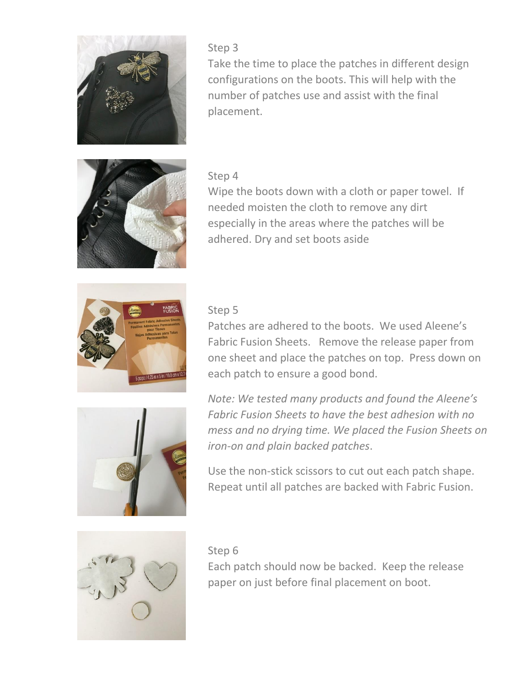

#### Step 3

Take the time to place the patches in different design configurations on the boots. This will help with the number of patches use and assist with the final placement.



#### Step 4

Wipe the boots down with a cloth or paper towel. If needed moisten the cloth to remove any dirt especially in the areas where the patches will be adhered. Dry and set boots aside



#### Step 5

Patches are adhered to the boots. We used Aleene's Fabric Fusion Sheets. Remove the release paper from one sheet and place the patches on top. Press down on each patch to ensure a good bond.



*Note: We tested many products and found the Aleene's Fabric Fusion Sheets to have the best adhesion with no mess and no drying time. We placed the Fusion Sheets on iron-on and plain backed patches*.

Use the non-stick scissors to cut out each patch shape. Repeat until all patches are backed with Fabric Fusion.



#### Step 6

Each patch should now be backed. Keep the release paper on just before final placement on boot.